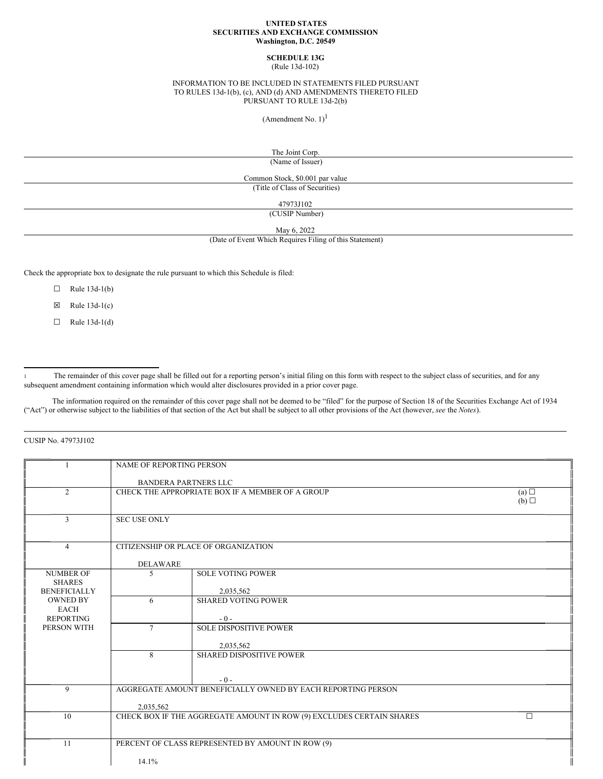## **UNITED STATES SECURITIES AND EXCHANGE COMMISSION Washington, D.C. 20549**

# **SCHEDULE 13G**

(Rule 13d-102)

## INFORMATION TO BE INCLUDED IN STATEMENTS FILED PURSUANT TO RULES 13d-1(b), (c), AND (d) AND AMENDMENTS THERETO FILED PURSUANT TO RULE 13d-2(b)

(Amendment No.  $1$ )<sup>1</sup>

The Joint Corp.

(Name of Issuer)

Common Stock, \$0.001 par value (Title of Class of Securities)

47973J102

(CUSIP Number)

May 6, 2022

(Date of Event Which Requires Filing of this Statement)

Check the appropriate box to designate the rule pursuant to which this Schedule is filed:

- $\Box$  Rule 13d-1(b)
- $\boxtimes$  Rule 13d-1(c)
- $\Box$  Rule 13d-1(d)

<sup>1</sup> The remainder of this cover page shall be filled out for a reporting person's initial filing on this form with respect to the subject class of securities, and for any subsequent amendment containing information which would alter disclosures provided in a prior cover page.

The information required on the remainder of this cover page shall not be deemed to be "filed" for the purpose of Section 18 of the Securities Exchange Act of 1934 ("Act") or otherwise subject to the liabilities of that section of the Act but shall be subject to all other provisions of the Act (however, *see* the *Notes*).

CUSIP No. 47973J102

|                                                                   | <b>NAME OF REPORTING PERSON</b>                                                |                                      |                 |  |
|-------------------------------------------------------------------|--------------------------------------------------------------------------------|--------------------------------------|-----------------|--|
|                                                                   | <b>BANDERA PARTNERS LLC</b>                                                    |                                      |                 |  |
| $\overline{2}$                                                    | CHECK THE APPROPRIATE BOX IF A MEMBER OF A GROUP                               |                                      | (a)             |  |
|                                                                   |                                                                                |                                      | $(b)$ $\square$ |  |
| 3                                                                 | <b>SEC USE ONLY</b>                                                            |                                      |                 |  |
|                                                                   |                                                                                |                                      |                 |  |
| $\overline{4}$                                                    |                                                                                | CITIZENSHIP OR PLACE OF ORGANIZATION |                 |  |
|                                                                   | <b>DELAWARE</b>                                                                |                                      |                 |  |
| <b>NUMBER OF</b>                                                  | 5                                                                              | <b>SOLE VOTING POWER</b>             |                 |  |
| <b>SHARES</b><br><b>BENEFICIALLY</b>                              |                                                                                | 2,035,562                            |                 |  |
| <b>OWNED BY</b>                                                   | 6                                                                              | <b>SHARED VOTING POWER</b>           |                 |  |
| <b>EACH</b><br><b>REPORTING</b>                                   |                                                                                | $-0-$                                |                 |  |
| PERSON WITH                                                       | $\tau$                                                                         | <b>SOLE DISPOSITIVE POWER</b>        |                 |  |
|                                                                   |                                                                                | 2,035,562                            |                 |  |
|                                                                   | 8                                                                              | <b>SHARED DISPOSITIVE POWER</b>      |                 |  |
|                                                                   |                                                                                |                                      |                 |  |
|                                                                   |                                                                                | $-0-$                                |                 |  |
| AGGREGATE AMOUNT BENEFICIALLY OWNED BY EACH REPORTING PERSON<br>9 |                                                                                |                                      |                 |  |
|                                                                   | 2,035,562                                                                      |                                      |                 |  |
| 10                                                                | CHECK BOX IF THE AGGREGATE AMOUNT IN ROW (9) EXCLUDES CERTAIN SHARES<br>$\Box$ |                                      |                 |  |
| 11<br>PERCENT OF CLASS REPRESENTED BY AMOUNT IN ROW (9)           |                                                                                |                                      |                 |  |
|                                                                   |                                                                                |                                      |                 |  |
|                                                                   | 14.1%                                                                          |                                      |                 |  |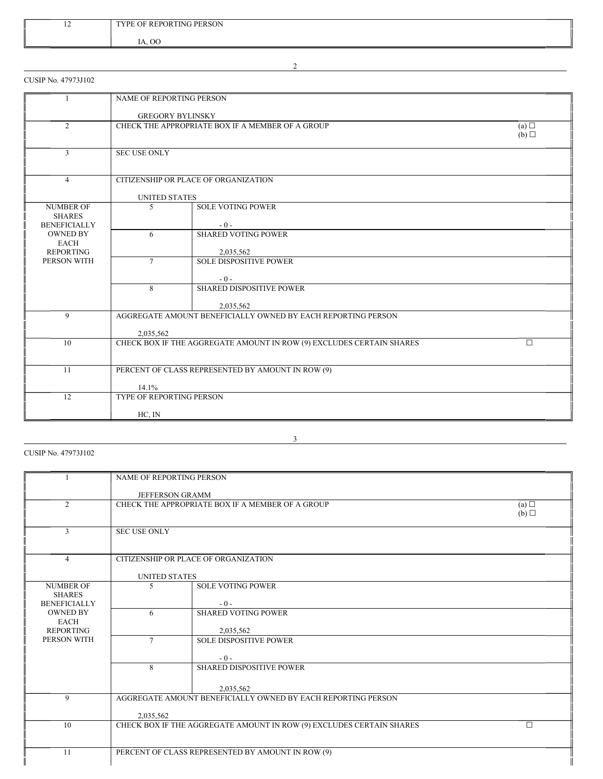| $\overline{1}$ | <b>ING PERSON</b><br><b>REPORTING</b><br><b>TVPF</b><br>OF |
|----------------|------------------------------------------------------------|
|                | $\alpha$<br>$\mathbf{v}$<br>$\mathbf{1}$                   |

2

CUSIP No. 47973J102

|                                                                                | <b>NAME OF REPORTING PERSON</b>                                                |                               |                 |  |
|--------------------------------------------------------------------------------|--------------------------------------------------------------------------------|-------------------------------|-----------------|--|
|                                                                                | <b>GREGORY BYLINSKY</b>                                                        |                               |                 |  |
| $\overline{2}$                                                                 | CHECK THE APPROPRIATE BOX IF A MEMBER OF A GROUP<br>(a)                        |                               |                 |  |
|                                                                                |                                                                                |                               | $(b)$ $\square$ |  |
| 3                                                                              | <b>SEC USE ONLY</b>                                                            |                               |                 |  |
|                                                                                |                                                                                |                               |                 |  |
| $\overline{4}$                                                                 | CITIZENSHIP OR PLACE OF ORGANIZATION                                           |                               |                 |  |
|                                                                                | <b>UNITED STATES</b>                                                           |                               |                 |  |
| <b>NUMBER OF</b><br><b>SHARES</b>                                              | 5                                                                              | <b>SOLE VOTING POWER</b>      |                 |  |
| <b>BENEFICIALLY</b>                                                            |                                                                                | $-0-$                         |                 |  |
| <b>OWNED BY</b><br><b>EACH</b>                                                 | 6                                                                              | <b>SHARED VOTING POWER</b>    |                 |  |
| <b>REPORTING</b>                                                               |                                                                                | 2,035,562                     |                 |  |
| PERSON WITH                                                                    | $\overline{7}$                                                                 | <b>SOLE DISPOSITIVE POWER</b> |                 |  |
|                                                                                |                                                                                | $-0-$                         |                 |  |
|                                                                                | 8                                                                              | SHARED DISPOSITIVE POWER      |                 |  |
|                                                                                |                                                                                | 2,035,562                     |                 |  |
| 9<br>AGGREGATE AMOUNT BENEFICIALLY OWNED BY EACH REPORTING PERSON<br>2,035,562 |                                                                                |                               |                 |  |
|                                                                                |                                                                                |                               |                 |  |
| 10                                                                             | CHECK BOX IF THE AGGREGATE AMOUNT IN ROW (9) EXCLUDES CERTAIN SHARES<br>$\Box$ |                               |                 |  |
|                                                                                |                                                                                |                               |                 |  |
| 11                                                                             | PERCENT OF CLASS REPRESENTED BY AMOUNT IN ROW (9)                              |                               |                 |  |
|                                                                                | 14.1%                                                                          |                               |                 |  |
| 12                                                                             | TYPE OF REPORTING PERSON                                                       |                               |                 |  |
|                                                                                | HC, IN                                                                         |                               |                 |  |

CUSIP No. 47973J102

|                                                                   | <b>NAME OF REPORTING PERSON</b>                                      |                                      |        |  |
|-------------------------------------------------------------------|----------------------------------------------------------------------|--------------------------------------|--------|--|
|                                                                   | <b>JEFFERSON GRAMM</b>                                               |                                      |        |  |
|                                                                   |                                                                      |                                      |        |  |
| $\overline{2}$                                                    | CHECK THE APPROPRIATE BOX IF A MEMBER OF A GROUP                     |                                      |        |  |
|                                                                   |                                                                      |                                      | (b)    |  |
|                                                                   |                                                                      |                                      |        |  |
| 3                                                                 | <b>SEC USE ONLY</b>                                                  |                                      |        |  |
|                                                                   |                                                                      |                                      |        |  |
| $\overline{4}$                                                    |                                                                      | CITIZENSHIP OR PLACE OF ORGANIZATION |        |  |
|                                                                   |                                                                      |                                      |        |  |
|                                                                   | <b>UNITED STATES</b>                                                 |                                      |        |  |
| <b>NUMBER OF</b>                                                  | 5                                                                    | <b>SOLE VOTING POWER</b>             |        |  |
| <b>SHARES</b>                                                     |                                                                      |                                      |        |  |
| <b>BENEFICIALLY</b>                                               |                                                                      | $-0-$                                |        |  |
| <b>OWNED BY</b>                                                   | 6                                                                    | <b>SHARED VOTING POWER</b>           |        |  |
| <b>EACH</b><br><b>REPORTING</b>                                   |                                                                      | 2,035,562                            |        |  |
| PERSON WITH                                                       | $\tau$                                                               | <b>SOLE DISPOSITIVE POWER</b>        |        |  |
|                                                                   |                                                                      |                                      |        |  |
|                                                                   |                                                                      | $-0-$                                |        |  |
|                                                                   | 8                                                                    | <b>SHARED DISPOSITIVE POWER</b>      |        |  |
|                                                                   |                                                                      |                                      |        |  |
|                                                                   |                                                                      | 2,035,562                            |        |  |
| AGGREGATE AMOUNT BENEFICIALLY OWNED BY EACH REPORTING PERSON<br>9 |                                                                      |                                      |        |  |
|                                                                   |                                                                      |                                      |        |  |
| 10                                                                | 2,035,562                                                            |                                      | $\Box$ |  |
|                                                                   | CHECK BOX IF THE AGGREGATE AMOUNT IN ROW (9) EXCLUDES CERTAIN SHARES |                                      |        |  |
|                                                                   |                                                                      |                                      |        |  |
| 11                                                                | PERCENT OF CLASS REPRESENTED BY AMOUNT IN ROW (9)                    |                                      |        |  |
|                                                                   |                                                                      |                                      |        |  |

3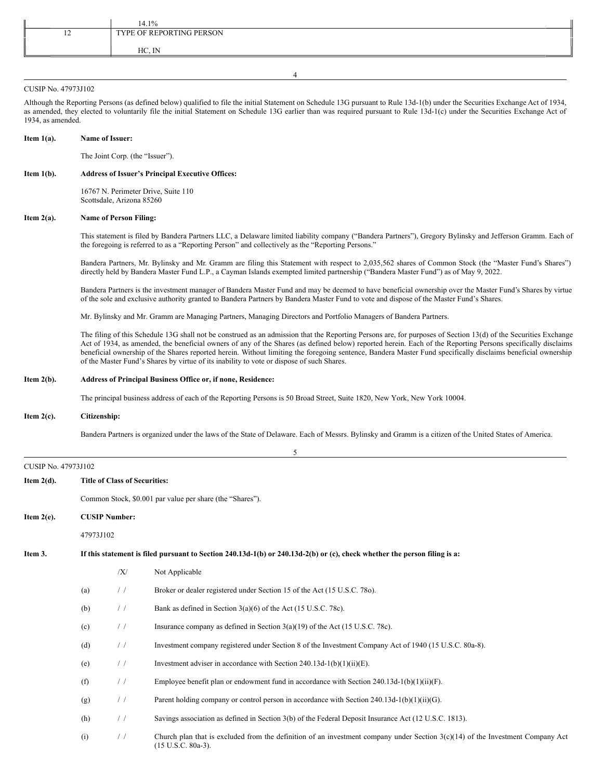|                | $.4.1\%$                 |
|----------------|--------------------------|
| $\overline{ }$ | TYPE OF REPORTING PERSON |
|                | IN<br>$HC.$ IN           |
|                |                          |

#### CUSIP No. 47973J102

Although the Reporting Persons (as defined below) qualified to file the initial Statement on Schedule 13G pursuant to Rule 13d-1(b) under the Securities Exchange Act of 1934, as amended, they elected to voluntarily file the initial Statement on Schedule 13G earlier than was required pursuant to Rule 13d-1(c) under the Securities Exchange Act of 1934, as amended.

4

#### **Item 1(a). Name of Issuer:**

The Joint Corp. (the "Issuer").

## **Item 1(b). Address of Issuer's Principal Executive Offices:**

16767 N. Perimeter Drive, Suite 110 Scottsdale, Arizona 85260

## **Item 2(a). Name of Person Filing:**

This statement is filed by Bandera Partners LLC, a Delaware limited liability company ("Bandera Partners"), Gregory Bylinsky and Jefferson Gramm. Each of the foregoing is referred to as a "Reporting Person" and collectively as the "Reporting Persons."

Bandera Partners, Mr. Bylinsky and Mr. Gramm are filing this Statement with respect to 2,035,562 shares of Common Stock (the "Master Fund's Shares") directly held by Bandera Master Fund L.P., a Cayman Islands exempted limited partnership ("Bandera Master Fund") as of May 9, 2022.

Bandera Partners is the investment manager of Bandera Master Fund and may be deemed to have beneficial ownership over the Master Fund's Shares by virtue of the sole and exclusive authority granted to Bandera Partners by Bandera Master Fund to vote and dispose of the Master Fund's Shares.

Mr. Bylinsky and Mr. Gramm are Managing Partners, Managing Directors and Portfolio Managers of Bandera Partners.

The filing of this Schedule 13G shall not be construed as an admission that the Reporting Persons are, for purposes of Section 13(d) of the Securities Exchange Act of 1934, as amended, the beneficial owners of any of the Shares (as defined below) reported herein. Each of the Reporting Persons specifically disclaims beneficial ownership of the Shares reported herein. Without limiting the foregoing sentence, Bandera Master Fund specifically disclaims beneficial ownership of the Master Fund's Shares by virtue of its inability to vote or dispose of such Shares.

## **Item 2(b). Address of Principal Business Office or, if none, Residence:**

The principal business address of each of the Reporting Persons is 50 Broad Street, Suite 1820, New York, New York 10004.

#### **Item 2(c). Citizenship:**

Bandera Partners is organized under the laws of the State of Delaware. Each of Messrs. Bylinsky and Gramm is a citizen of the United States of America.

|                     |                                                                                                                           |               | 5                                                                                                                                                                  |
|---------------------|---------------------------------------------------------------------------------------------------------------------------|---------------|--------------------------------------------------------------------------------------------------------------------------------------------------------------------|
| CUSIP No. 47973J102 |                                                                                                                           |               |                                                                                                                                                                    |
| Item $2(d)$ .       | <b>Title of Class of Securities:</b>                                                                                      |               |                                                                                                                                                                    |
|                     | Common Stock, \$0.001 par value per share (the "Shares").                                                                 |               |                                                                                                                                                                    |
| Item $2(e)$ .       | <b>CUSIP Number:</b>                                                                                                      |               |                                                                                                                                                                    |
|                     | 47973J102                                                                                                                 |               |                                                                                                                                                                    |
| Item 3.             | If this statement is filed pursuant to Section 240.13d-1(b) or 240.13d-2(b) or (c), check whether the person filing is a: |               |                                                                                                                                                                    |
|                     |                                                                                                                           | X             | Not Applicable                                                                                                                                                     |
|                     | (a)                                                                                                                       | $\frac{1}{2}$ | Broker or dealer registered under Section 15 of the Act (15 U.S.C. 780).                                                                                           |
|                     | (b)                                                                                                                       | $\frac{1}{2}$ | Bank as defined in Section $3(a)(6)$ of the Act (15 U.S.C. 78c).                                                                                                   |
|                     | (c)                                                                                                                       | /             | Insurance company as defined in Section $3(a)(19)$ of the Act (15 U.S.C. 78c).                                                                                     |
|                     | (d)                                                                                                                       | /             | Investment company registered under Section 8 of the Investment Company Act of 1940 (15 U.S.C. 80a-8).                                                             |
|                     | (e)                                                                                                                       | /             | Investment adviser in accordance with Section 240.13d-1(b)(1)(ii)(E).                                                                                              |
|                     | (f)                                                                                                                       | $\frac{1}{2}$ | Employee benefit plan or endowment fund in accordance with Section 240.13d-1(b)(1)(ii)(F).                                                                         |
|                     | (g)                                                                                                                       | $\frac{1}{2}$ | Parent holding company or control person in accordance with Section 240.13d-1(b)(1)(ii)(G).                                                                        |
|                     | (h)                                                                                                                       | /             | Savings association as defined in Section 3(b) of the Federal Deposit Insurance Act (12 U.S.C. 1813).                                                              |
|                     | (i)                                                                                                                       | /             | Church plan that is excluded from the definition of an investment company under Section $3(c)(14)$ of the Investment Company Act<br>$(15 \text{ U.S.C. } 80a-3)$ . |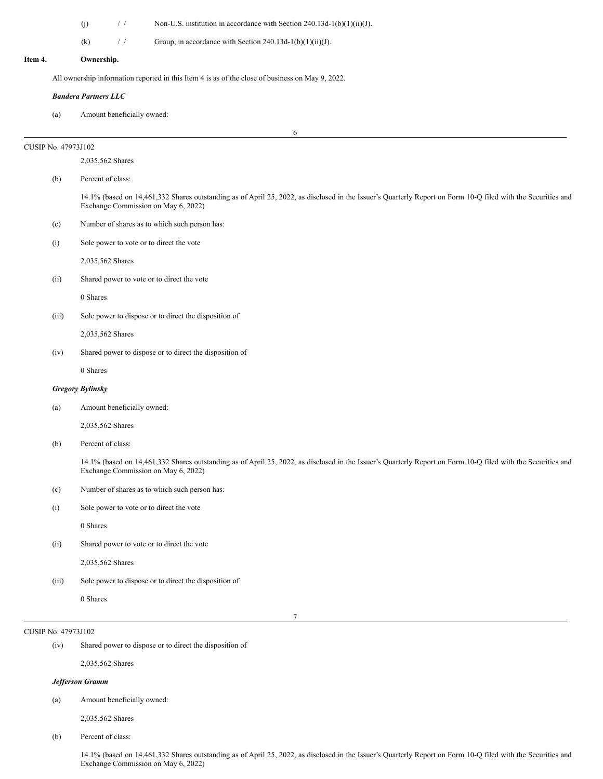|         |                     | (j)<br>$\frac{1}{2}$<br>Non-U.S. institution in accordance with Section 240.13d-1(b)(1)(ii)(J).                                                                                                     |  |  |  |  |
|---------|---------------------|-----------------------------------------------------------------------------------------------------------------------------------------------------------------------------------------------------|--|--|--|--|
|         |                     | (k)<br>$\frac{1}{2}$<br>Group, in accordance with Section 240.13d-1(b)(1)(ii)(J).                                                                                                                   |  |  |  |  |
| Item 4. |                     | Ownership.                                                                                                                                                                                          |  |  |  |  |
|         |                     |                                                                                                                                                                                                     |  |  |  |  |
|         |                     | All ownership information reported in this Item 4 is as of the close of business on May 9, 2022.                                                                                                    |  |  |  |  |
|         | (a)                 | <b>Bandera Partners LLC</b><br>Amount beneficially owned:                                                                                                                                           |  |  |  |  |
|         |                     | 6                                                                                                                                                                                                   |  |  |  |  |
|         | CUSIP No. 47973J102 |                                                                                                                                                                                                     |  |  |  |  |
|         |                     | 2,035,562 Shares                                                                                                                                                                                    |  |  |  |  |
|         | (b)                 | Percent of class:                                                                                                                                                                                   |  |  |  |  |
|         |                     | 14.1% (based on 14,461,332 Shares outstanding as of April 25, 2022, as disclosed in the Issuer's Quarterly Report on Form 10-Q filed with the Securities and<br>Exchange Commission on May 6, 2022) |  |  |  |  |
|         | (c)                 | Number of shares as to which such person has:                                                                                                                                                       |  |  |  |  |
|         | (i)                 | Sole power to vote or to direct the vote                                                                                                                                                            |  |  |  |  |
|         |                     | 2,035,562 Shares                                                                                                                                                                                    |  |  |  |  |
|         | (ii)                | Shared power to vote or to direct the vote                                                                                                                                                          |  |  |  |  |
|         |                     | 0 Shares                                                                                                                                                                                            |  |  |  |  |
|         | (iii)               | Sole power to dispose or to direct the disposition of                                                                                                                                               |  |  |  |  |
|         |                     | 2,035,562 Shares                                                                                                                                                                                    |  |  |  |  |
|         | (iv)                | Shared power to dispose or to direct the disposition of                                                                                                                                             |  |  |  |  |
|         |                     | 0 Shares                                                                                                                                                                                            |  |  |  |  |
|         |                     | <b>Gregory Bylinsky</b>                                                                                                                                                                             |  |  |  |  |
|         | (a)                 | Amount beneficially owned:                                                                                                                                                                          |  |  |  |  |
|         |                     | 2,035,562 Shares                                                                                                                                                                                    |  |  |  |  |
|         | (b)                 | Percent of class:                                                                                                                                                                                   |  |  |  |  |
|         |                     | 14.1% (based on 14,461,332 Shares outstanding as of April 25, 2022, as disclosed in the Issuer's Quarterly Report on Form 10-Q filed with the Securities and<br>Exchange Commission on May 6, 2022) |  |  |  |  |
|         | (c)                 | Number of shares as to which such person has:                                                                                                                                                       |  |  |  |  |
|         | (i)                 | Sole power to vote or to direct the vote                                                                                                                                                            |  |  |  |  |
|         |                     | 0 Shares                                                                                                                                                                                            |  |  |  |  |
|         | (ii)                | Shared power to vote or to direct the vote                                                                                                                                                          |  |  |  |  |
|         |                     | 2,035,562 Shares                                                                                                                                                                                    |  |  |  |  |
|         | (iii)               | Sole power to dispose or to direct the disposition of                                                                                                                                               |  |  |  |  |
|         |                     | 0 Shares                                                                                                                                                                                            |  |  |  |  |
|         |                     | $\tau$                                                                                                                                                                                              |  |  |  |  |

# CUSIP No. 47973J102

(iv) Shared power to dispose or to direct the disposition of

2,035,562 Shares

# *Jef erson Gramm*

(a) Amount beneficially owned:

2,035,562 Shares

(b) Percent of class:

14.1% (based on 14,461,332 Shares outstanding as of April 25, 2022, as disclosed in the Issuer's Quarterly Report on Form 10-Q filed with the Securities and Exchange Commission on May 6, 2022)